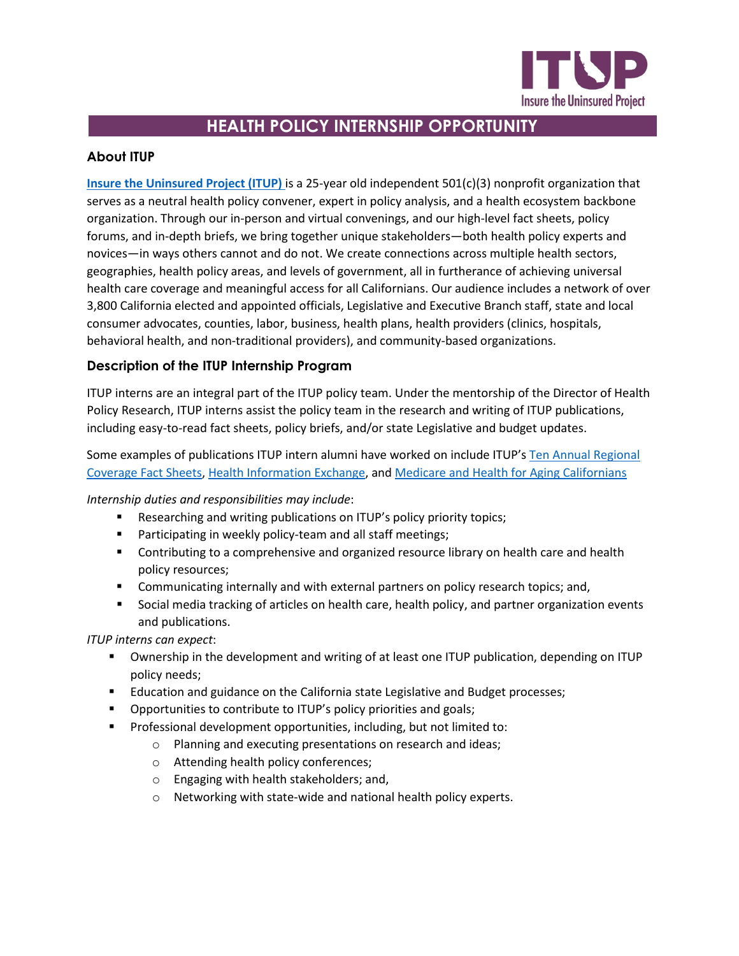

# **HEALTH POLICY INTERNSHIP OPPORTUNITY**

## **About ITUP**

**[Insure the Uninsured Project \(ITUP\)](http://www.itup.org/)** is a 25-year old independent 501(c)(3) nonprofit organization that serves as a neutral health policy convener, expert in policy analysis, and a health ecosystem backbone organization. Through our in-person and virtual convenings, and our high-level fact sheets, policy forums, and in-depth briefs, we bring together unique stakeholders—both health policy experts and novices—in ways others cannot and do not. We create connections across multiple health sectors, geographies, health policy areas, and levels of government, all in furtherance of achieving universal health care coverage and meaningful access for all Californians. Our audience includes a network of over 3,800 California elected and appointed officials, Legislative and Executive Branch staff, state and local consumer advocates, counties, labor, business, health plans, health providers (clinics, hospitals, behavioral health, and non-traditional providers), and community-based organizations.

# **Description of the ITUP Internship Program**

ITUP interns are an integral part of the ITUP policy team. Under the mentorship of the Director of Health Policy Research, ITUP interns assist the policy team in the research and writing of ITUP publications, including easy-to-read fact sheets, policy briefs, and/or state Legislative and budget updates.

Some examples of publications ITUP intern alumni have worked on include ITUP'[s Ten Annual Regional](https://www.itup.org/2021-regional-health-coverage-fact-sheets/)  [Coverage Fact Sheets,](https://www.itup.org/2021-regional-health-coverage-fact-sheets/) [Health Information Exchange,](https://www.itup.org/wp-content/uploads/2021/06/ITUP-Fact-Sheet-HIE-v5.pdf) and [Medicare and Health for Aging Californians](https://www.itup.org/wp-content/uploads/2021/04/ITUP_Medicare_2021REV_042621.pdf)

*Internship duties and responsibilities may include*:

- **Researching and writing publications on ITUP's policy priority topics;**
- **Participating in weekly policy-team and all staff meetings;**
- **Contributing to a comprehensive and organized resource library on health care and health** policy resources;
- Communicating internally and with external partners on policy research topics; and,
- Social media tracking of articles on health care, health policy, and partner organization events and publications.

*ITUP interns can expect*:

- Ownership in the development and writing of at least one ITUP publication, depending on ITUP policy needs;
- **Education and guidance on the California state Legislative and Budget processes;**
- **•** Opportunities to contribute to ITUP's policy priorities and goals;
- **Professional development opportunities, including, but not limited to:** 
	- o Planning and executing presentations on research and ideas;
	- o Attending health policy conferences;
	- o Engaging with health stakeholders; and,
	- o Networking with state-wide and national health policy experts.